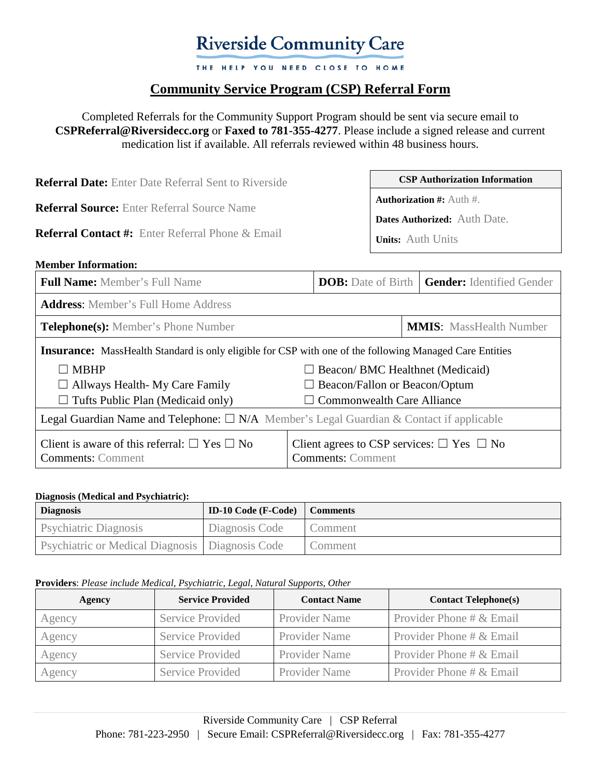# **Riverside Community Care**

THE HELP YOU NEED CLOSE TO HOME

# **Community Service Program (CSP) Referral Form**

Completed Referrals for the Community Support Program should be sent via secure email to **[CSPReferral@Riversidecc.org](mailto:CSPReferral@Riversidecc.org)** or **Faxed to 781-355-4277**. Please include a signed release and current medication list if available. All referrals reviewed within 48 business hours.

| <b>Referral Date:</b> Enter Date Referral Sent to Riverside                                                   |  | <b>CSP Authorization Information</b>                                                                  |                                                              |
|---------------------------------------------------------------------------------------------------------------|--|-------------------------------------------------------------------------------------------------------|--------------------------------------------------------------|
| <b>Referral Source:</b> Enter Referral Source Name<br><b>Referral Contact #:</b> Enter Referral Phone & Email |  | <b>Authorization #:</b> Auth $#$ .<br><b>Dates Authorized:</b> Auth Date.<br><b>Units:</b> Auth Units |                                                              |
|                                                                                                               |  |                                                                                                       |                                                              |
| <b>Full Name:</b> Member's Full Name                                                                          |  |                                                                                                       | <b>DOB:</b> Date of Birth   <b>Gender:</b> Identified Gender |

| <b>Address:</b> Member's Full Home Address                                                                     |                                                                                       |  |
|----------------------------------------------------------------------------------------------------------------|---------------------------------------------------------------------------------------|--|
| <b>Telephone(s):</b> Member's Phone Number                                                                     | <b>MMIS:</b> MassHealth Number                                                        |  |
| <b>Insurance:</b> MassHealth Standard is only eligible for CSP with one of the following Managed Care Entities |                                                                                       |  |
| $\Box$ MBHP                                                                                                    | $\Box$ Beacon/ BMC Healthnet (Medicaid)                                               |  |
| $\Box$ Allways Health-My Care Family                                                                           | $\Box$ Beacon/Fallon or Beacon/Optum                                                  |  |
| $\Box$ Tufts Public Plan (Medicaid only)                                                                       | $\Box$ Commonwealth Care Alliance                                                     |  |
| Legal Guardian Name and Telephone: $\square$ N/A Member's Legal Guardian & Contact if applicable               |                                                                                       |  |
| Client is aware of this referral: $\Box$ Yes $\Box$ No<br><b>Comments:</b> Comment                             | Client agrees to CSP services: $\square$ Yes $\square$ No<br><b>Comments: Comment</b> |  |

#### **Diagnosis (Medical and Psychiatric):**

| <b>Diagnosis</b>                                         | <b>ID-10 Code (F-Code)</b> Comments |         |
|----------------------------------------------------------|-------------------------------------|---------|
| <b>Psychiatric Diagnosis</b>                             | Diagnosis Code                      | Comment |
| <b>Psychiatric or Medical Diagnosis   Diagnosis Code</b> |                                     | Comment |

#### **Providers**: *Please include Medical, Psychiatric, Legal, Natural Supports, Other*

| Agency | <b>Service Provided</b> | <b>Contact Name</b>  | <b>Contact Telephone(s)</b> |
|--------|-------------------------|----------------------|-----------------------------|
| Agency | Service Provided        | <b>Provider Name</b> | Provider Phone # & Email    |
| Agency | Service Provided        | <b>Provider Name</b> | Provider Phone # & Email    |
| Agency | Service Provided        | <b>Provider Name</b> | Provider Phone # & Email    |
| Agency | Service Provided        | <b>Provider Name</b> | Provider Phone # & Email    |